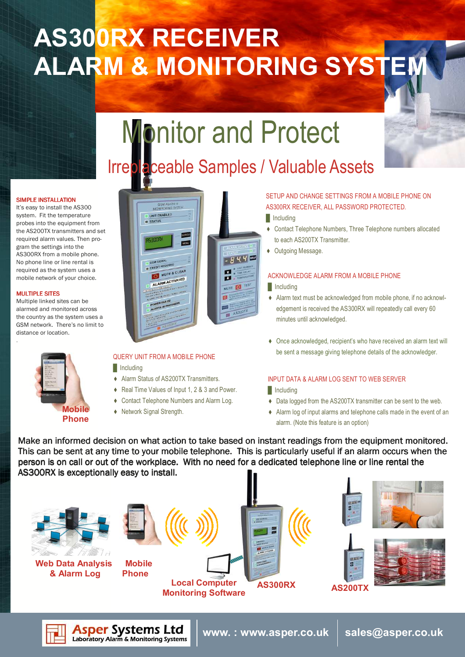# AS300RX RECEIVER ALARM & MONITORING SYSTEM



## Irreplaceable Samples / Valuable Assets

### SIMPLE INSTALLATION

It's easy to install the AS300 system. Fit the temperature probes into the equipment from the AS200TX transmitters and set required alarm values. Then program the settings into the AS300RX from a mobile phone. No phone line or line rental is required as the system uses a mobile network of your choice.

### MULTIPLE SITES

Multiple linked sites can be alarmed and monitored across the country as the system uses a GSM network. There's no limit to distance or location. .



### UNIT ENABLED **STATUS Regali ESPIRA** MENU  $-844$ GSM SIGN CREDIT REQU MUTE & CLEAR ALARM ACTIVATED MUTE OF TES of E  $A520$

### QUERY UNIT FROM A MOBILE PHONE

**Including** 

**Asper Systems Ltd**<br>Laboratory Alarm & Monitoring Systems

- ♦ Alarm Status of AS200TX Transmitters.
- ♦ Real Time Values of Input 1, 2 & 3 and Power.
- ♦ Contact Telephone Numbers and Alarm Log.
- ♦ Network Signal Strength.

### SETUP AND CHANGE SETTINGS FROM A MOBILE PHONE ON AS300RX RECEIVER, ALL PASSWORD PROTECTED.

### **I**Including

- ♦ Contact Telephone Numbers, Three Telephone numbers allocated to each AS200TX Transmitter.
- ♦ Outgoing Message.

### ACKNOWLEDGE ALARM FROM A MOBILE PHONE

### **I**Including

- ♦ Alarm text must be acknowledged from mobile phone, if no acknowledgement is received the AS300RX will repeatedly call every 60 minutes until acknowledged.
- ♦ Once acknowledged, recipient's who have received an alarm text will be sent a message giving telephone details of the acknowledger.

### INPUT DATA & ALARM LOG SENT TO WEB SERVER

www. : www.asper.co.uk  $\, \mid \,$  sales@asper.co.uk

- $\blacksquare$  Including
- ♦ Data logged from the AS200TX transmitter can be sent to the web.
- ♦ Alarm log of input alarms and telephone calls made in the event of an alarm. (Note this feature is an option)

Make an informed decision on what action to take based on instant readings from the equipment monitored. This can be sent at any time to your mobile telephone. This is particularly useful if an alarm occurs when the person is on call or out of the workplace. With no need for a dedicated telephone line or line rental the AS300RX is exceptionally easy to install.

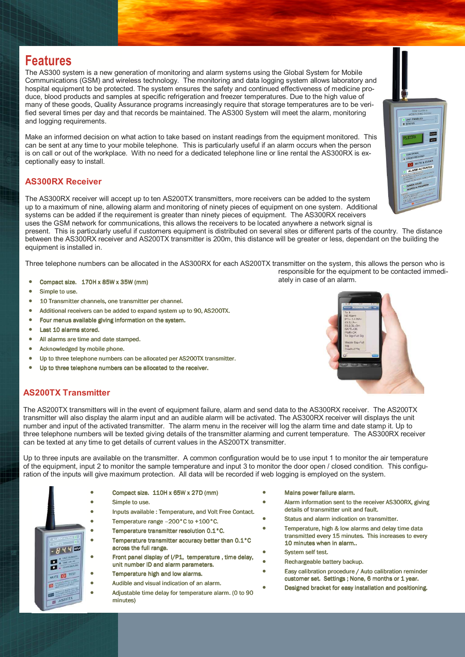### Features

The AS300 system is a new generation of monitoring and alarm systems using the Global System for Mobile Communications (GSM) and wireless technology. The monitoring and data logging system allows laboratory and hospital equipment to be protected. The system ensures the safety and continued effectiveness of medicine produce, blood products and samples at specific refrigeration and freezer temperatures. Due to the high value of many of these goods, Quality Assurance programs increasingly require that storage temperatures are to be verified several times per day and that records be maintained. The AS300 System will meet the alarm, monitoring and logging requirements.

Make an informed decision on what action to take based on instant readings from the equipment monitored. This can be sent at any time to your mobile telephone. This is particularly useful if an alarm occurs when the person is on call or out of the workplace. With no need for a dedicated telephone line or line rental the AS300RX is exceptionally easy to install.

### AS300RX Receiver

The AS300RX receiver will accept up to ten AS200TX transmitters, more receivers can be added to the system up to a maximum of nine, allowing alarm and monitoring of ninety pieces of equipment on one system. Additional systems can be added if the requirement is greater than ninety pieces of equipment. The AS300RX receivers uses the GSM network for communications, this allows the receivers to be located anywhere a network signal is present. This is particularly useful if customers equipment is distributed on several sites or different parts of the country. The distance between the AS300RX receiver and AS200TX transmitter is 200m, this distance will be greater or less, dependant on the building the equipment is installed in.

Three telephone numbers can be allocated in the AS300RX for each AS200TX transmitter on the system, this allows the person who is responsible for the equipment to be contacted immedi-

- Compact size. 170H x 85W x 35W (mm) 170H x 85W x 35W (mm) 170H x 85W x 35W (mm) 170H x 85W x 35W (mm) 170H x 85W x 35W (mm)
- Simple to use.
- 10 Transmitter channels, one transmitter per channel.
- Additional receivers can be added to expand system up to 90, AS200TX.
- Four menus available giving information on the system.
- Last 10 alarms stored.
- All alarms are time and date stamped.
- Acknowledged by mobile phone.
- Up to three telephone numbers can be allocated per AS200TX transmitter.
- Up to three telephone numbers can be allocated to the receiver.



### AS200TX Transmitter

The AS200TX transmitters will in the event of equipment failure, alarm and send data to the AS300RX receiver. The AS200TX transmitter will also display the alarm input and an audible alarm will be activated. The AS300RX receiver will displays the unit number and input of the activated transmitter. The alarm menu in the receiver will log the alarm time and date stamp it. Up to three telephone numbers will be texted giving details of the transmitter alarming and current temperature. The AS300RX receiver can be texted at any time to get details of current values in the AS200TX transmitter.

Up to three inputs are available on the transmitter. A common configuration would be to use input 1 to monitor the air temperature of the equipment, input 2 to monitor the sample temperature and input 3 to monitor the door open / closed condition. This configuration of the inputs will give maximum protection. All data will be recorded if web logging is employed on the system.



- Compact size. 110H x 65W x 27D (mm)
- Simple to use.
- Inputs available : Temperature, and Volt Free Contact.
- Temperature range –200°C to +100°C.
- Temperature transmitter resolution 0.1°C. • Temperature transmitter accuracy better than 0.1°C across the full range.
- Front panel display of I/P1, temperature , time delay, unit number ID and alarm parameters.
- Temperature high and low alarms.
- Audible and visual indication of an alarm.
- Adjustable time delay for temperature alarm. (0 to 90 minutes)
- Mains power failure alarm.
- Alarm information sent to the receiver AS300RX, giving details of transmitter unit and fault.
- Status and alarm indication on transmitter.
	- Temperature, high & low alarms and delay time data transmitted every 15 minutes. This increases to every 10 minutes when in alarm...
- System self test.
- Rechargeable battery backup.
- Easy calibration procedure / Auto calibration reminder customer set. Settings ; None, 6 months or 1 year.
- Designed bracket for easy installation and positioning.

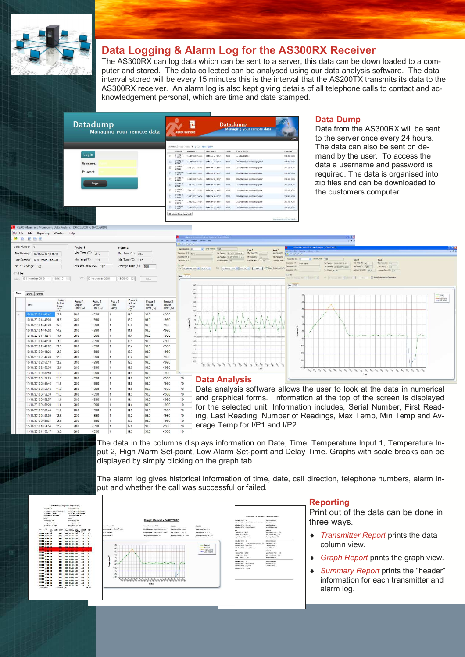

### Data Logging & Alarm Log for the AS300RX Receiver

The AS300RX can log data which can be sent to a server, this data can be down loaded to a computer and stored. The data collected can be analysed using our data analysis software. The data interval stored will be every 15 minutes this is the interval that the AS200TX transmits its data to the AS300RX receiver. An alarm log is also kept giving details of all telephone calls to contact and acknowledgement personal, which are time and date stamped.

| <b>Datadump</b><br>Managing your remote data |                                         |                                | <b>ASPER SYSTEMS</b> |                  |       | <b>Datadump</b><br><b>Managing your remote data</b> | Logout                         |
|----------------------------------------------|-----------------------------------------|--------------------------------|----------------------|------------------|-------|-----------------------------------------------------|--------------------------------|
|                                              | that the 4 gibs note tasks<br>Select AL |                                |                      |                  |       |                                                     |                                |
|                                              |                                         | Received                       | Deston IMFS          | Ident-Tele No.   | Sweet | <b>Ham Message</b>                                  | Ferrasse                       |
| Login                                        |                                         | 2010-12-30<br>13:35:24         | 357820022514434      | Sat 6784 2016257 | 1009  | Geo souare ULT                                      | 2683U1V014                     |
| Username:                                    |                                         | 2010-12-12<br>12:49:31         | 157820022514434      | 882 8784 2016257 | 1009  | CSN Alarm and Worldsring System                     | 2683U1V014                     |
|                                              |                                         | 2010-12-11<br>12:49:20         | 357820022514434      | SM 0784 2016257  | 1009  | GSM Alarm and Monitoring System                     | 2683U1V014                     |
| Password:                                    |                                         | 2010-12-10<br>12:40:38         | 357820022514434      | SW 0784 2016257  | 1009  | CSM Alarm and Monitoring System                     | 268311V014                     |
|                                              |                                         | 2010-12-09<br>12 S2 S5         | 357820022514434      | 8# 0784'2016257  | 7500  | Crisis Alarm and Montbring System                   | 2683U1V014                     |
| Login                                        |                                         | 2010-12-08<br>12:49:54         | 357820322514434      | SM 0784 2016257  | 1002  | CSILAIarm and Monitoring System                     | 2683U1V014                     |
|                                              |                                         | 2010-12-07<br>10:43:01         | 157820022514434      | S## 6784 2016257 | 1009  | GSM Alarm and Monitoring Bratern                    | 2683U1V014                     |
|                                              |                                         | 2010-12-00<br>10:43:08         | 357820022514434      | 888 0784 2016257 | 1009  | GSM Alarm and Monitoring System                     | 2683U1V014                     |
|                                              | r                                       | 2010-12-05<br>10:42:18         | 352820022534434      | RNI 6784 2016257 | 1000  | C/SM Atarm and Noridoring System.                   | 2683U1V014                     |
|                                              |                                         | 2010-12-04<br>10.4343          | 357820022514434      | 882 0704 2016257 | 1009  | GSN Alarm and Worlforing System                     | 2683U1V014                     |
|                                              |                                         | 29 selected three and download |                      |                  |       |                                                     | Download Help File Contact (i) |

### Data Dump

Data from the AS300RX will be sent to the server once every 24 hours. The data can also be sent on demand by the user. To access the data a username and password is required. The data is organised into zip files and can be downloaded to the customers computer.

| Serial Number: 0        |                     | Probe 1                    | Probe <sub>2</sub>                          |
|-------------------------|---------------------|----------------------------|---------------------------------------------|
| First Reading:          | 10/11/2010 13:46:42 | Max Temp (°C): 21.6        | Max Temp (°C): 217                          |
| Last Reading:           | 16/11/2010 15:29:43 | Min Temp ('C):<br>111      | Min Temp ('C): 11.1                         |
| No. of Readings:        | 167                 | Average Temp (°C):<br>16.1 | Average Temp (°C): 16.0                     |
| Filter                  |                     |                            |                                             |
| Start: 10 November 2010 | $-$ 13.46.42 $-$    | End:                       | 16 November 2010 - 15:29:43<br>一般时<br>Fiter |

|   | Time                | Probe 1<br>Actual<br>Temp<br>(C) | Probe <sub>1</sub><br>Upper.<br>Limit (°C) | Probe <sub>1</sub><br>Lower<br>Limit (°C) | Probe 1<br>Time<br>Delay | Probe <sub>2</sub><br>Actual<br>Temp<br>(CC) | Probe <sub>2</sub><br>Upper<br>Limit (°C) | Probe <sub>2</sub><br>Lower<br>Limit (°C) |   |
|---|---------------------|----------------------------------|--------------------------------------------|-------------------------------------------|--------------------------|----------------------------------------------|-------------------------------------------|-------------------------------------------|---|
| ۰ | 10/11/2010 13:46:42 | 15.2                             | 28.0                                       | $-199.0$                                  | $\mathbf{1}$             | 149                                          | 990                                       | $-199.0$                                  |   |
|   | 10/11/2010 14:47:05 | 159                              | 280                                        | $-1990$                                   | 1                        | 15.7                                         | 990                                       | $-1990$                                   |   |
|   | 10/11/2010 15:47:28 | 153                              | 280                                        | $-1990$                                   | 1                        | 150                                          | 990                                       | $-1990$                                   |   |
|   | 10/11/2010 16:47:52 | 14.8                             | 28 D                                       | $-1990$                                   | ŧ                        | 14.6                                         | 99 D                                      | $-199.0$                                  |   |
|   | 10/11/2010 17:48:15 | 14.4                             | 28.0                                       | $-199.0$                                  | 1                        | 14.4                                         | 99.0                                      | $-199.0$                                  |   |
|   | 10/11/2010 18:48:39 | 13.8                             | 28.0                                       | $-199.0$                                  | 1                        | 13.9                                         | 99.0                                      | $-199.0$                                  |   |
|   | 10/11/2010 19:49:02 | 133                              | 28.0                                       | $-199.0$                                  | 1                        | 134                                          | 99.0                                      | $-199.0$                                  |   |
|   | 10/11/2010 20:49:26 | 127                              | 280                                        | $-1990$                                   | $\mathbf{1}$             | 127                                          | 990                                       | $-1990$                                   |   |
|   | 10/11/2010 21:49:49 | 12.5                             | 280                                        | $-1990$                                   | Ŧ                        | 124                                          | 990                                       | $-1990$                                   |   |
|   | 10/11/2010 22:50:13 | 12.2                             | 28.0                                       | $-199.0$                                  | 1                        | 12.2                                         | 99.0                                      | $-199.0$                                  |   |
|   | 10/11/2010 23:50:36 | 12.1                             | 28.0                                       | $-199.0$                                  | 1                        | 12.0                                         | 99.0                                      | $-199.0$                                  |   |
|   | 11/11/2010 00:50:59 | 119                              | 28.0                                       | $-199.0$                                  | ŧ                        | 119                                          | 99.0                                      | $-199.0$                                  |   |
|   | 11/11/2010 01:51:23 | 11.9                             | 28.0                                       | $-1990$                                   | $\mathbf{1}$             | 11.8                                         | 990                                       | $-199.0$                                  | 1 |
|   | 11/11/2010 02:51:46 | 11.8                             | 28.0                                       | $-199.0$                                  | 1                        | 11.8                                         | 99.0                                      | $-199.0$                                  | 1 |
|   | 11/11/2010 03:52:16 | 116                              | 280                                        | $-1990$                                   | 1                        | 11 <sub>6</sub>                              | 990                                       | $-1990$                                   | 1 |
|   | 11/11/2010 04:52:33 | 11.3                             | 28.0                                       | $-1990$                                   | ŧ                        | 11.3                                         | 99.0                                      | $-1990$                                   | 1 |
|   | 11/11/2010 05:52:57 | 11.1                             | 28.0                                       | $-199.0$                                  | $\mathbf{f}$             | 11.1                                         | 99.0                                      | $-199.0$                                  | 1 |
|   | 11/11/2010 06:53:20 | 11.4                             | 28.0                                       | $-199.0$                                  | $\mathbf{f}$             | 11.4                                         | 99.0                                      | $-199.0$                                  | 1 |
|   | 11/11/2010 07:53:44 | 11.7                             | 28.0                                       | $-199.0$                                  | ÷                        | 11.5                                         | 990                                       | $-199.0$                                  | 1 |
|   | 11/11/2010 08:54:09 | 12.3                             | 28.0                                       | $-199.0$                                  | $\mathbf{1}$             | 12.2                                         | 99 <sub>0</sub>                           | $-199.0$                                  | 1 |
|   | 11/11/2010 09:54:31 | 12.5                             | 28.0                                       | $-199.0$                                  | 1                        | 12.3                                         | 99.0                                      | $-199.0$                                  | 1 |
|   | 11/11/2010 10:54:54 | 12.7                             | 28.0                                       | $-199.0$                                  | 1                        | 12.6                                         | 99.0                                      | $-199.0$                                  | 1 |
|   |                     |                                  |                                            |                                           |                          |                                              |                                           |                                           |   |



Data analysis software allows the user to look at the data in numerical and graphical forms. Information at the top of the screen is displayed for the selected unit. Information includes, Serial Number, First Reading, Last Reading, Number of Readings, Max Temp, Min Temp and Average Temp for I/P1 and I/P2.



The data in the columns displays information on Date, Time, Temperature Input 1, Temperature Input 2, High Alarm Set-point, Low Alarm Set-point and Delay Time. Graphs with scale breaks can be displayed by simply clicking on the graph tab.

The alarm log gives historical information of time, date, call direction, telephone numbers, alarm input and whether the call was successful or failed.



### Reporting

Print out of the data can be done in three ways.

- Transmitter Report prints the data column view.
- Graph Report prints the graph view.
- Summary Report prints the "header" information for each transmitter and alarm log.